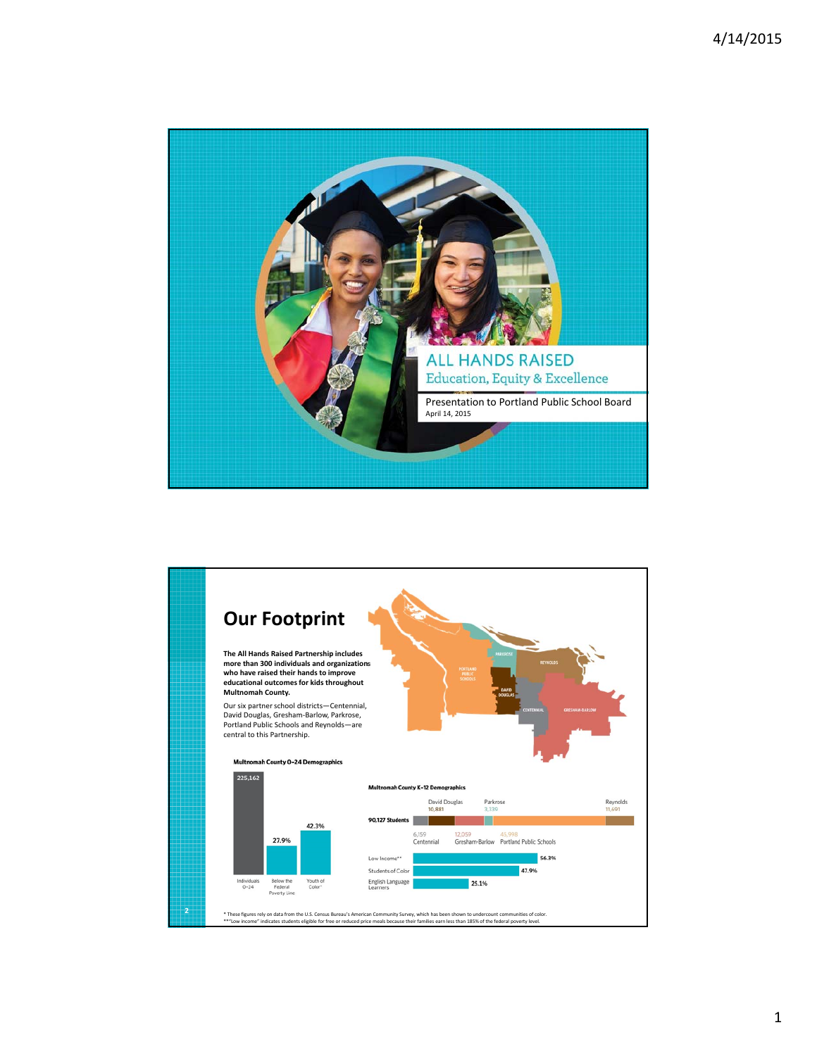

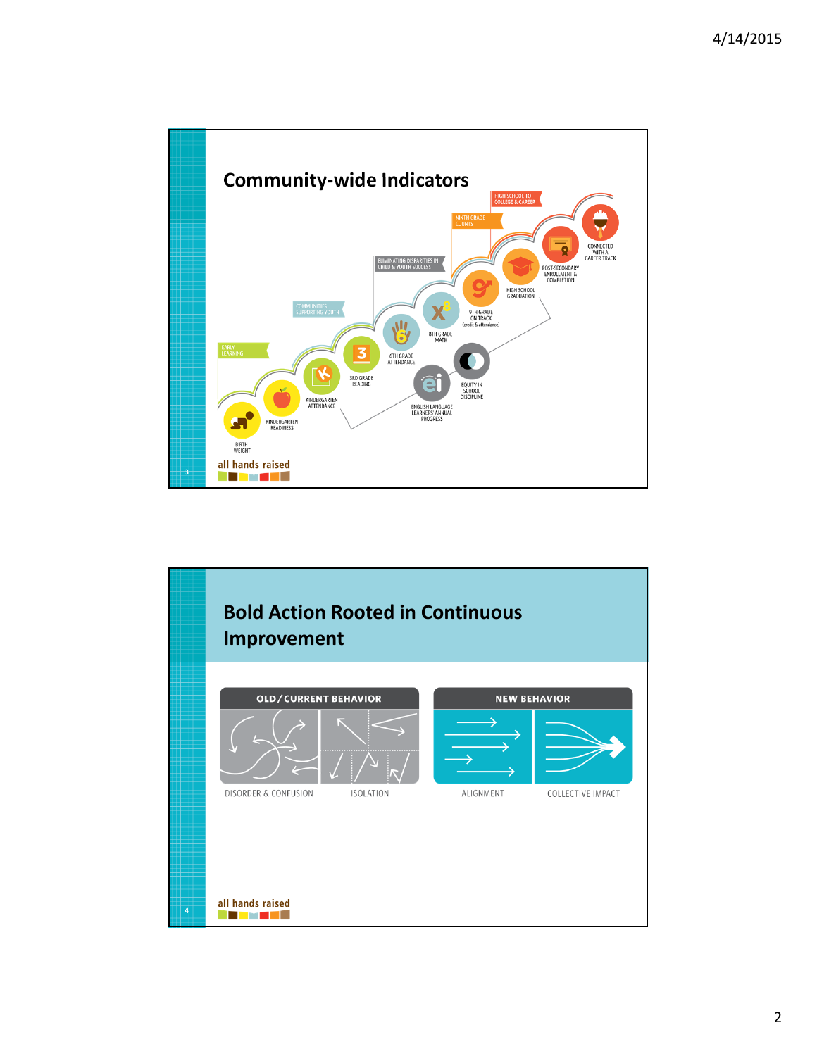

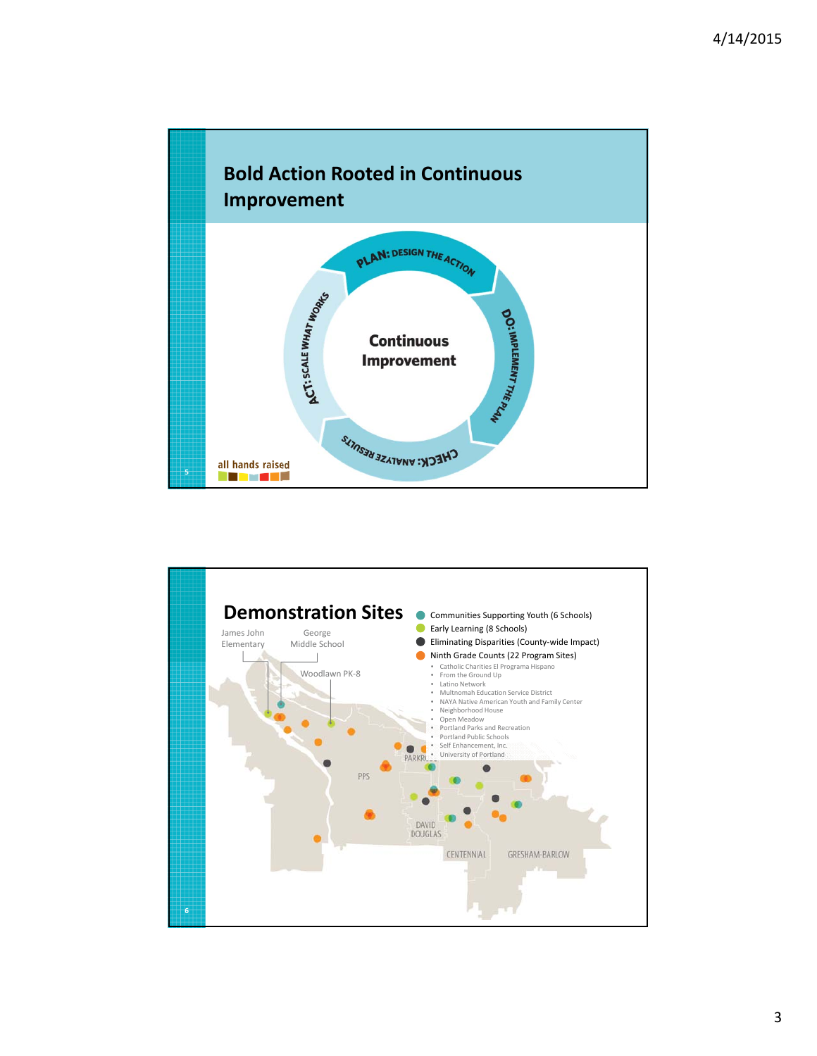

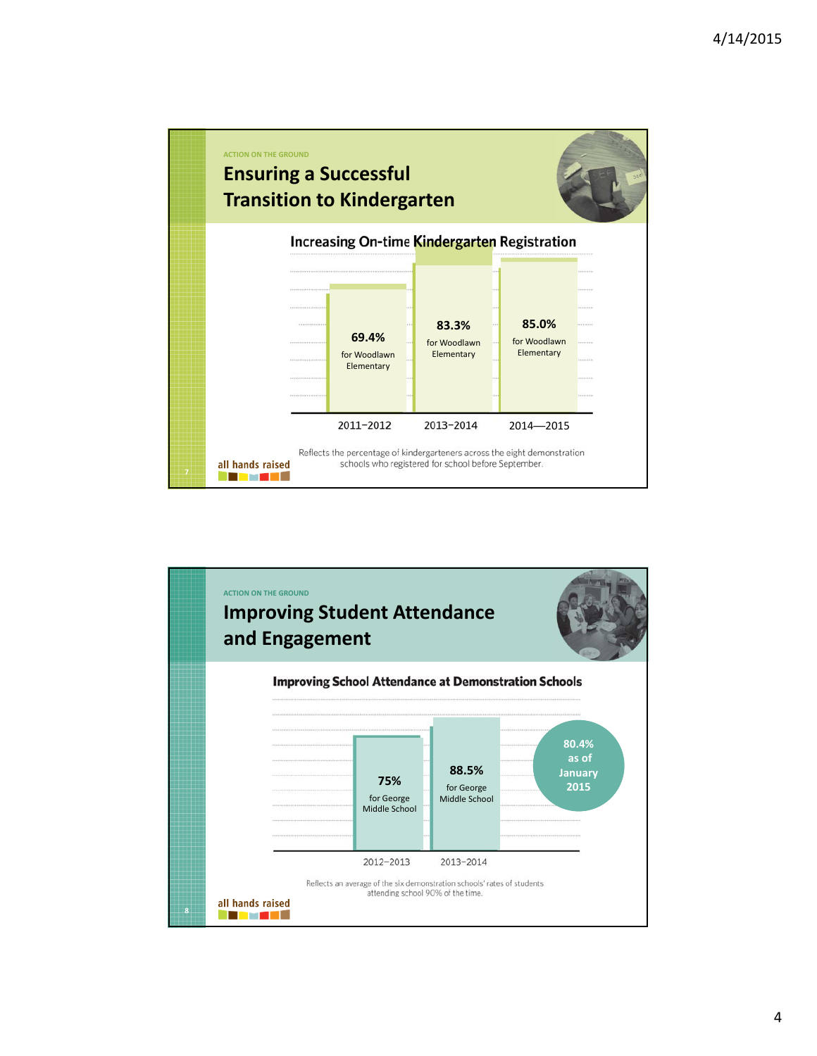

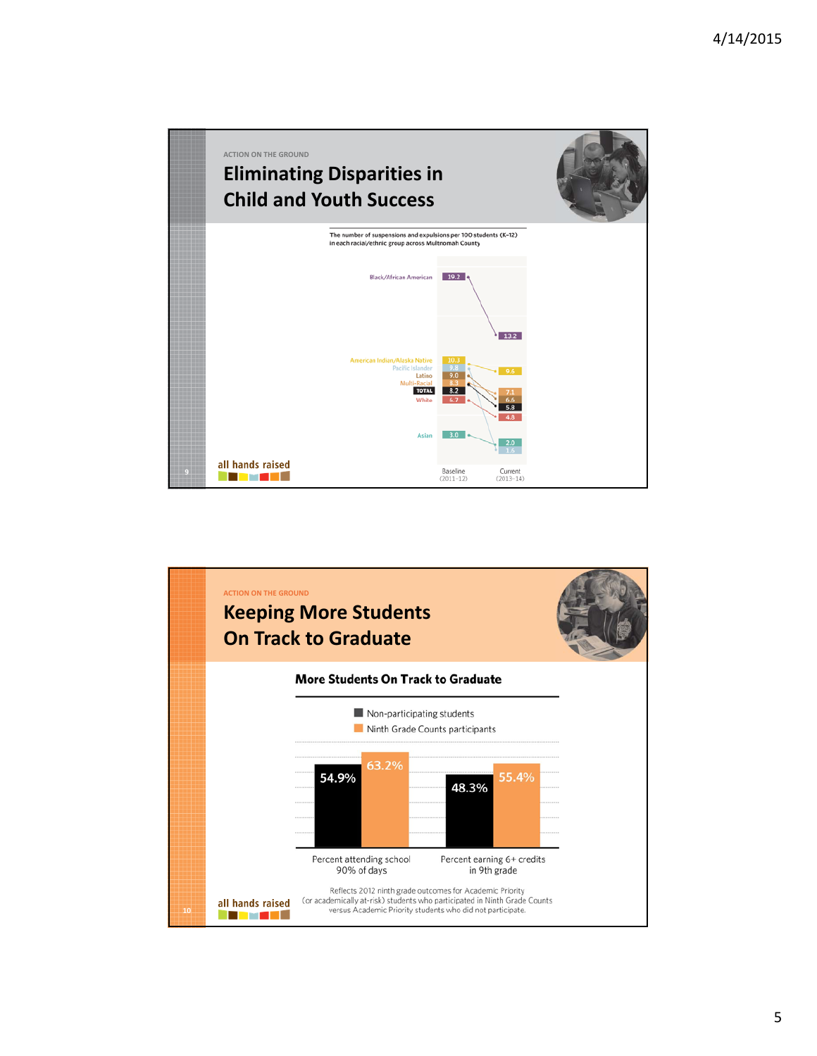

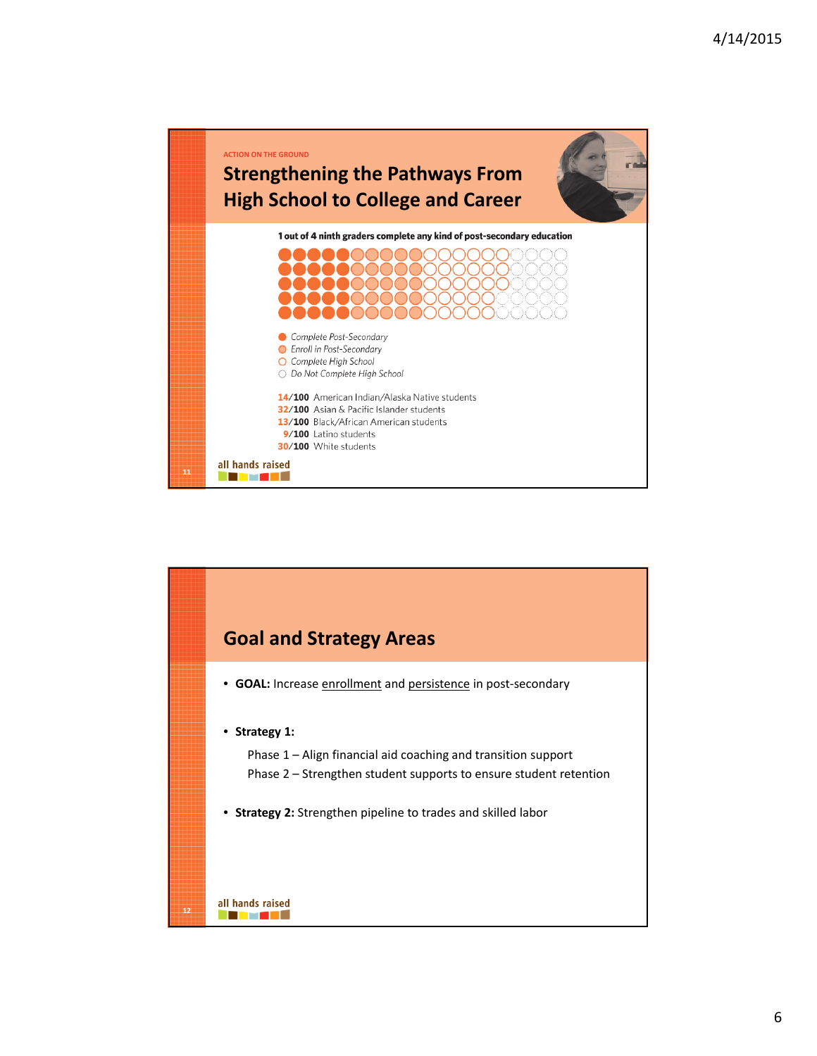

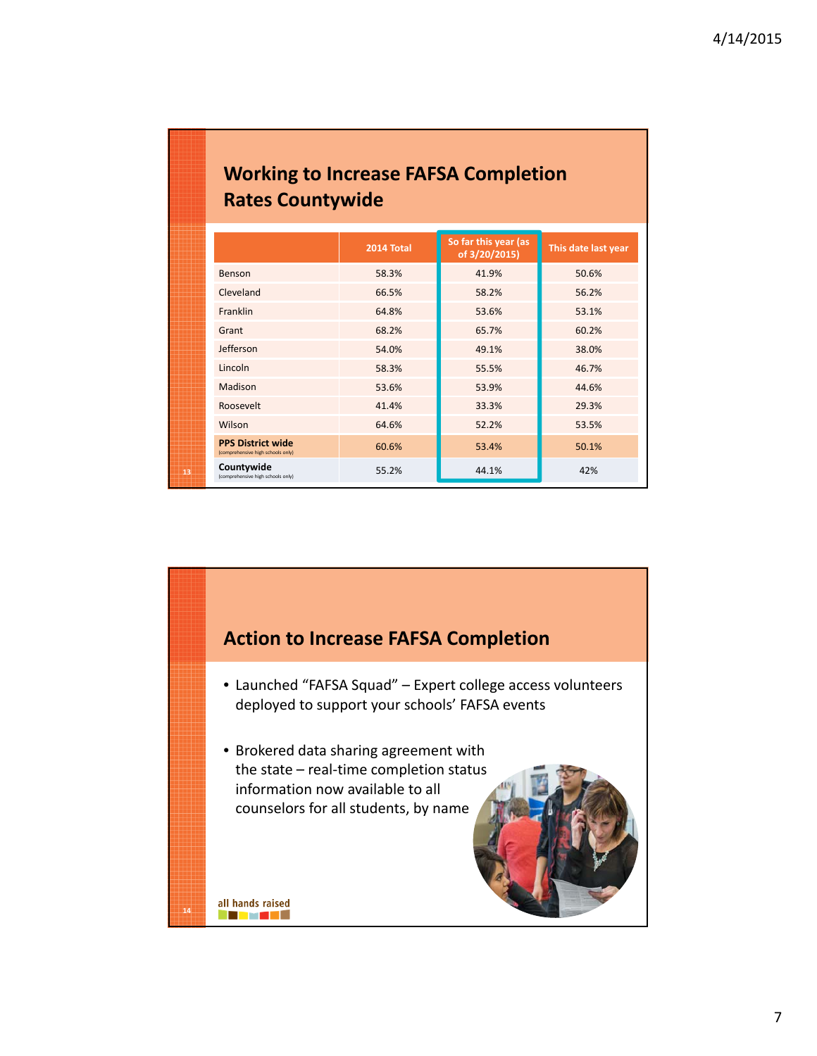| <b>Working to Increase FAFSA Completion</b> |  |
|---------------------------------------------|--|
| <b>Rates Countywide</b>                     |  |

|    |                                                               | 2014 Total | So far this year (as<br>of 3/20/2015) | This date last year |
|----|---------------------------------------------------------------|------------|---------------------------------------|---------------------|
|    | Benson                                                        | 58.3%      | 41.9%                                 | 50.6%               |
|    | Cleveland                                                     | 66.5%      | 58.2%                                 | 56.2%               |
|    | Franklin                                                      | 64.8%      | 53.6%                                 | 53.1%               |
|    | Grant                                                         | 68.2%      | 65.7%                                 | 60.2%               |
|    | Jefferson                                                     | 54.0%      | 49.1%                                 | 38.0%               |
|    | Lincoln                                                       | 58.3%      | 55.5%                                 | 46.7%               |
|    | Madison                                                       | 53.6%      | 53.9%                                 | 44.6%               |
|    | Roosevelt                                                     | 41.4%      | 33.3%                                 | 29.3%               |
|    | Wilson                                                        | 64.6%      | 52.2%                                 | 53.5%               |
|    | <b>PPS District wide</b><br>(comprehensive high schools only) | 60.6%      | 53.4%                                 | 50.1%               |
| 13 | Countywide<br>(comprehensive high schools only)               | 55.2%      | 44.1%                                 | 42%                 |

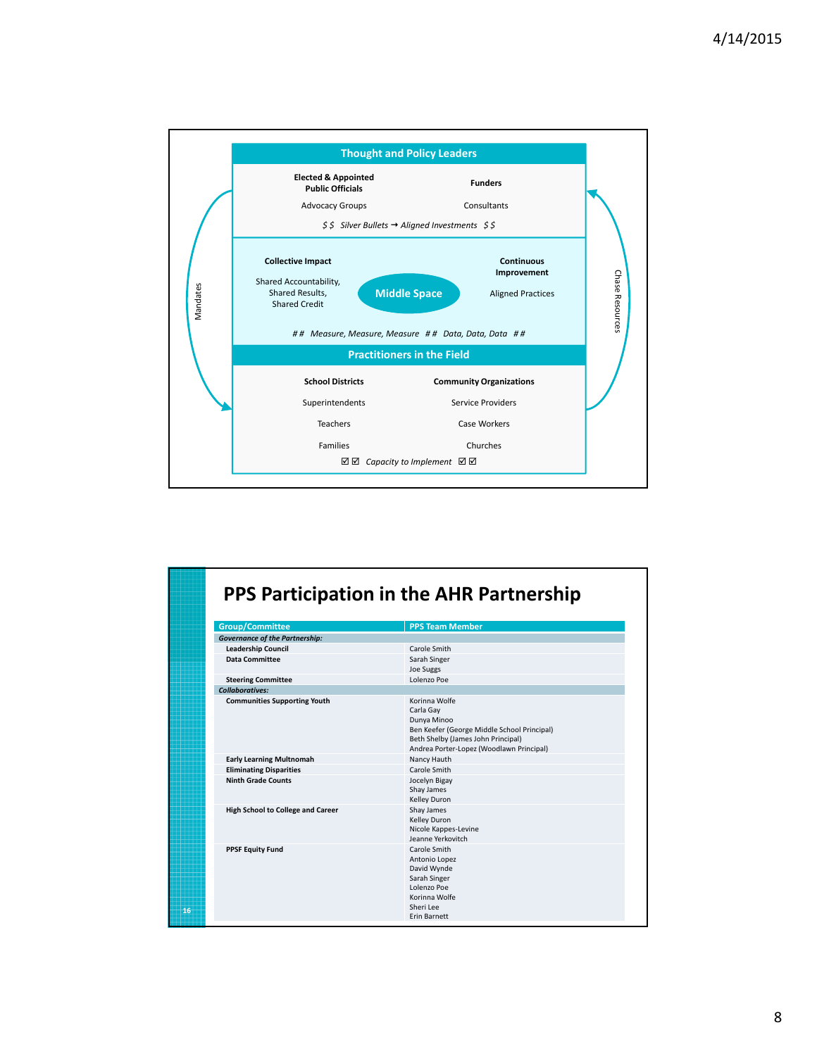

| Group/Committee                          | <b>PPS Team Member</b>                                                                                                                                                     |  |
|------------------------------------------|----------------------------------------------------------------------------------------------------------------------------------------------------------------------------|--|
| <b>Governance of the Partnership:</b>    |                                                                                                                                                                            |  |
| <b>Leadership Council</b>                | Carole Smith                                                                                                                                                               |  |
| <b>Data Committee</b>                    | Sarah Singer<br><b>Joe Suggs</b>                                                                                                                                           |  |
| <b>Steering Committee</b>                | Lolenzo Poe                                                                                                                                                                |  |
| <b>Collaboratives:</b>                   |                                                                                                                                                                            |  |
| <b>Communities Supporting Youth</b>      | Korinna Wolfe<br>Carla Gay<br>Dunya Minoo<br>Ben Keefer (George Middle School Principal)<br>Beth Shelby (James John Principal)<br>Andrea Porter-Lopez (Woodlawn Principal) |  |
| <b>Early Learning Multnomah</b>          | Nancy Hauth                                                                                                                                                                |  |
| <b>Eliminating Disparities</b>           | Carole Smith                                                                                                                                                               |  |
| <b>Ninth Grade Counts</b>                | Jocelyn Bigay<br>Shay James<br>Kelley Duron                                                                                                                                |  |
| <b>High School to College and Career</b> | Shay James<br>Kelley Duron<br>Nicole Kappes-Levine<br>Jeanne Yerkovitch                                                                                                    |  |
| <b>PPSF Equity Fund</b>                  | Carole Smith<br>Antonio Lopez<br>David Wynde<br>Sarah Singer<br>Lolenzo Poe<br>Korinna Wolfe<br>Sheri Lee<br><b>Frin Barnett</b>                                           |  |